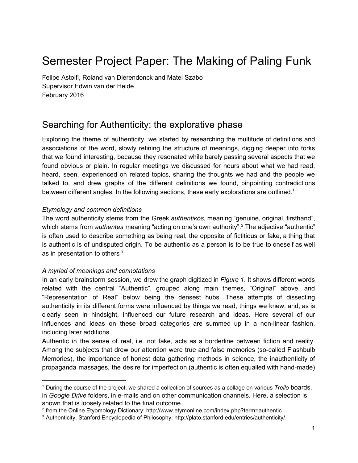# Semester Project Paper: The Making of Paling Funk

Felipe Astolfi, Roland van Dierendonck and Matei Szabo Supervisor Edwin van der Heide February 2016

# Searching for Authenticity: the explorative phase

Exploring the theme of authenticity, we started by researching the multitude of definitions and associations of the word, slowly refining the structure of meanings, digging deeper into forks that we found interesting, because they resonated while barely passing several aspects that we found obvious or plain. In regular meetings we discussed for hours about what we had read, heard, seen, experienced on related topics, sharing the thoughts we had and the people we talked to, and drew graphs of the different definitions we found, pinpointing contradictions between different angles. In the following sections, these early explorations are outlined.<sup>1</sup>

#### *Etymology and common definitions*

The word authenticity stems from the Greek *authentikós*, meaning "genuine, original, firsthand", which stems from *authentes* meaning "acting on one's own authority".<sup>2</sup> The adjective "authentic" is often used to describe something as being real, the opposite of fictitious or fake, a thing that is authentic is of undisputed origin. To be authentic as a person is to be true to oneself as well as in presentation to others  $3$ 

# *A myriad of meanings and connotations*

In an early brainstorm session, we drew the graph digitized in *Figure 1*. It shows different words related with the central "Authentic", grouped along main themes, "Original" above, and "Representation of Real" below being the densest hubs. These attempts of dissecting authenticity in its different forms were influenced by things we read, things we knew, and, as is clearly seen in hindsight, influenced our future research and ideas. Here several of our influences and ideas on these broad categories are summed up in a non-linear fashion, including later additions.

Authentic in the sense of real, i.e. not fake, acts as a borderline between fiction and reality. Among the subjects that drew our attention were true and false memories (so-called Flashbulb Memories), the importance of honest data gathering methods in science, the inauthenticity of propaganda massages, the desire for imperfection (authentic is often equalled with hand-made)

<sup>1</sup> During the course of the project, we shared a collection of sources as a collage on various *Trello* boards, in *Google Drive* folders, in e-mails and on other communication channels. Here, a selection is shown that is loosely related to the final outcome.

<sup>2</sup> from the Online Etyomology Dictionary: http://www.etymonline.com/index.php?term=authentic

<sup>3</sup> Authenticity. Stanford Encyclopedia of Philosophy: http://plato.stanford.edu/entries/authenticity/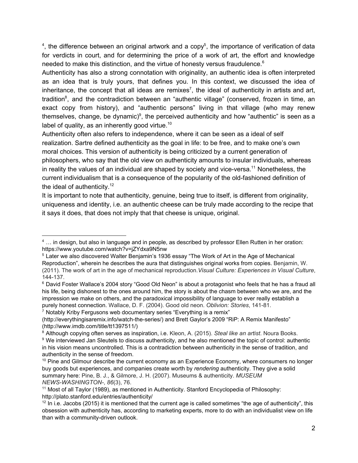<sup>4</sup>, the difference between an original artwork and a copy<sup>5</sup>, the importance of verification of data for verdicts in court, and for determining the price of a work of art, the effort and knowledge needed to make this distinction, and the virtue of honesty versus fraudulence.<sup>6</sup>

Authenticity has also a strong connotation with originality, an authentic idea is often interpreted as an idea that is truly yours, that defines you. In this context, we discussed the idea of inheritance, the concept that all ideas are remixes<sup>7</sup>, the ideal of authenticity in artists and art, tradition<sup>8</sup>, and the contradiction between an "authentic village" (conserved, frozen in time, an exact copy from history), and "authentic persons" living in that village (who may renew themselves, change, be dynamic) $9$ , the perceived authenticity and how "authentic" is seen as a label of quality, as an inherently good virtue.<sup>10</sup>

Authenticity often also refers to independence, where it can be seen as a ideal of self realization. Sartre defined authenticity as the goal in life: to be free, and to make one's own moral choices. This version of authenticity is being criticized by a current generation of philosophers, who say that the old view on authenticity amounts to insular individuals, whereas in reality the values of an individual are shaped by society and vice-versa.<sup>11</sup> Nonetheless, the current individualism that is a consequence of the popularity of the old-fashioned definition of the ideal of authenticity.<sup>12</sup>

It is important to note that authenticity, genuine, being true to itself, is different from originality, uniqueness and identity, i.e. an authentic cheese can be truly made according to the recipe that it says it does, that does not imply that that cheese is unique, original.

<sup>7</sup> Notably Kriby Fergusons web documentary series "Everything is a remix"

<sup>&</sup>lt;sup>4</sup> ... in design, but also in language and in people, as described by professor Ellen Rutten in her oration: https://www.youtube.com/watch?v=jZYdxa9N5nw

<sup>5</sup> Later we also discovered Walter Benjamin's 1936 essay "The Work of Art in the Age of Mechanical Reproduction", wherein he describes the aura that distinguishes original works from copies. Benjamin, W. (2011). The work of art in the age of mechanical reproduction.*Visual Culture: Experiences in Visual Culture*, 144-137.

<sup>&</sup>lt;sup>6</sup> David Foster Wallace's 2004 story "Good Old Neon" is about a protagonist who feels that he has a fraud all his life, being dishonest to the ones around him, the story is about the chasm between who we are, and the impression we make on others, and the paradoxical impossibility of language to ever really establish a purely honest connection. Wallace, D. F. (2004). Good old neon. *Oblivion: Stories*, 14181.

<sup>(</sup>http://everythingisaremix.info/watch-the-series/) and Brett Gaylor's 2009 "RiP: A Remix Manifesto" (http://www.imdb.com/title/tt1397511/)

<sup>8</sup> Although copying often serves as inspiration, i.e. Kleon, A. (2015). *Steal like an artist*. Noura Books.

<sup>&</sup>lt;sup>9</sup> We interviewed Jan Sleutels to discuss authenticity, and he also mentioned the topic of control: authentic in his vision means uncontrolled. This is a contradiction between authenticity in the sense of tradition, and authenticity in the sense of freedom.

 $10$  Pine and Gilmour describe the current economy as an Experience Economy, where consumers no longer buy goods but experiences, and companies create worth by *rendering* authenticity. They give a solid summary here: Pine, B. J., & Gilmore, J. H. (2007). Museums & authenticity. *MUSEUM NEWSWASHINGTON*, *86*(3), 76.

<sup>11</sup> Most of all Taylor (1989), as mentioned in Authenticity. Stanford Encyclopedia of Philosophy: http://plato.stanford.edu/entries/authenticity/

 $12$  In i.e. Jacobs (2015) it is mentioned that the current age is called sometimes "the age of authenticity", this obsession with authenticity has, according to marketing experts, more to do with an individualist view on life than with a community-driven outlook.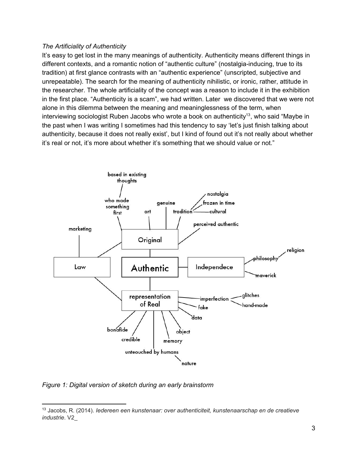#### *The Artificiality of Authenticity*

It's easy to get lost in the many meanings of authenticity. Authenticity means different things in different contexts, and a romantic notion of "authentic culture" (nostalgia-inducing, true to its tradition) at first glance contrasts with an "authentic experience" (unscripted, subjective and unrepeatable). The search for the meaning of authenticity nihilistic, or ironic, rather, attitude in the researcher. The whole artificiality of the concept was a reason to include it in the exhibition in the first place. "Authenticity is a scam", we had written. Later we discovered that we were not alone in this dilemma between the meaning and meaninglessness of the term, when interviewing sociologist Ruben Jacobs who wrote a book on authenticity<sup>13</sup>, who said "Maybe in the past when I was writing I sometimes had this tendency to say 'let's just finish talking about authenticity, because it does not really exist', but I kind of found out it's not really about whether it's real or not, it's more about whether it's something that we should value or not."



*Figure 1: Digital version of sketch during an early brainstorm*

<sup>13</sup> Jacobs, R. (2014). *Iedereen een kunstenaar: over authenticiteit, kunstenaarschap en de creatieve industrie*. V2\_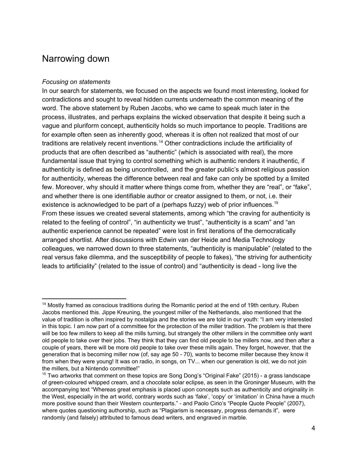# Narrowing down

#### *Focusing on statements*

In our search for statements, we focused on the aspects we found most interesting, looked for contradictions and sought to reveal hidden currents underneath the common meaning of the word. The above statement by Ruben Jacobs, who we came to speak much later in the process, illustrates, and perhaps explains the wicked observation that despite it being such a vague and pluriform concept, authenticity holds so much importance to people. Traditions are for example often seen as inherently good, whereas it is often not realized that most of our traditions are relatively recent inventions.<sup>14</sup> Other contradictions include the artificiality of products that are often described as "authentic" (which is associated with real), the more fundamental issue that trying to control something which is authentic renders it inauthentic, if authenticity is defined as being uncontrolled, and the greater public's almost religious passion for authenticity, whereas the difference between real and fake can only be spotted by a limited few. Moreover, why should it matter where things come from, whether they are "real", or "fake", and whether there is one identifiable author or creator assigned to them, or not, i.e. their existence is acknowledged to be part of a (perhaps fuzzy) web of prior influences.<sup>15</sup> From these issues we created several statements, among which "the craving for authenticity is related to the feeling of control", "in authenticity we trust", "authenticity is a scam" and "an authentic experience cannot be repeated" were lost in first iterations of the democratically arranged shortlist. After discussions with Edwin van der Heide and Media Technology colleagues, we narrowed down to three statements, "authenticity is manipulable" (related to the real versus fake dilemma, and the susceptibility of people to fakes), "the striving for authenticity leads to artificiality" (related to the issue of control) and "authenticity is dead - long live the

<sup>&</sup>lt;sup>14</sup> Mostly framed as conscious traditions during the Romantic period at the end of 19th century. Ruben Jacobs mentioned this. Jippe Kreuning, the youngest miller of the Netherlands, also mentioned that the value of tradition is often inspired by nostalgia and the stories we are told in our youth: "I am very interested in this topic. I am now part of a committee for the protection of the miller tradition. The problem is that there will be too few millers to keep all the mills turning, but strangely the other millers in the committee only want old people to take over their jobs. They think that they can find old people to be millers now, and then after a couple of years, there will be more old people to take over these mills again. They forget, however, that the generation that is becoming miller now (of, say age 50 - 70), wants to become miller because they know it from when they were young! It was on radio, in songs, on TV... when our generation is old, we do not join the millers, but a Nintendo committee!"

<sup>&</sup>lt;sup>15</sup> Two artworks that comment on these topics are Song Dong's "Original Fake" (2015) - a grass landscape of greencoloured whipped cream, and a chocolate solar eclipse, as seen in the Groninger Museum, with the accompanying text "Whereas great emphasis is placed upon concepts such as authenticity and originality in the West, especially in the art world, contrary words such as 'fake', 'copy' or 'imitation' in China have a much more positive sound than their Western counterparts." - and Paolo Cirio's "People Quote People" (2007), where quotes questioning authorship, such as "Plagiarism is necessary, progress demands it", were randomly (and falsely) attributed to famous dead writers, and engraved in marble.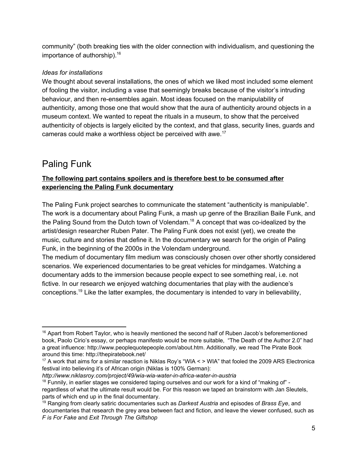community" (both breaking ties with the older connection with individualism, and questioning the importance of authorship). 16

# *Ideas for installations*

We thought about several installations, the ones of which we liked most included some element of fooling the visitor, including a vase that seemingly breaks because of the visitor's intruding behaviour, and then re-ensembles again. Most ideas focused on the manipulability of authenticity, among those one that would show that the aura of authenticity around objects in a museum context. We wanted to repeat the rituals in a museum, to show that the perceived authenticity of objects is largely elicited by the context, and that glass, security lines, guards and cameras could make a worthless object be perceived with awe.<sup>17</sup>

# Paling Funk

# **The following part contains spoilers and is therefore best to be consumed after experiencing the Paling Funk documentary**

The Paling Funk project searches to communicate the statement "authenticity is manipulable". The work is a documentary about Paling Funk, a mash up genre of the Brazilian Baile Funk, and the Paling Sound from the Dutch town of Volendam.<sup>18</sup> A concept that was co-idealized by the artist/design researcher Ruben Pater. The Paling Funk does not exist (yet), we create the music, culture and stories that define it. In the documentary we search for the origin of Paling Funk, in the beginning of the 2000s in the Volendam underground.

The medium of documentary film medium was consciously chosen over other shortly considered scenarios. We experienced documentaries to be great vehicles for mindgames. Watching a documentary adds to the immersion because people expect to see something real, i.e. not fictive. In our research we enjoyed watching documentaries that play with the audience's conceptions.<sup>19</sup> Like the latter examples, the documentary is intended to vary in believability,

 $16$  Apart from Robert Taylor, who is heavily mentioned the second half of Ruben Jacob's beforementioned book, Paolo Cirio's essay, or perhaps manifesto would be more suitable, "The Death of the Author 2.0" had a great influence: http://www.peoplequotepeople.com/about.htm. Additionally, we read The Pirate Book around this time: http://thepiratebook.net/

<sup>17</sup> A work that aims for a similar reaction is Niklas Roy's "WIA < > WIA" that fooled the 2009 ARS Electronica festival into believing it's of African origin (Niklas is 100% German):

http://www.niklasroy.com/project/49/wia-wia-water-in-africa-water-in-austria

 $18$  Funnily, in earlier stages we considered taping ourselves and our work for a kind of "making of" regardless of what the ultimate result would be. For this reason we taped an brainstorm with Jan Sleutels, parts of which end up in the final documentary.

<sup>19</sup> Ranging from clearly satiric documentaries such as *Darkest Austria* and episodes of *Brass Eye*, and documentaries that research the grey area between fact and fiction, and leave the viewer confused, such as *F is For Fake* and *Exit Through The Giftshop*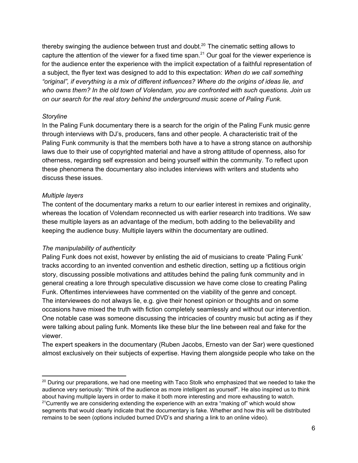thereby swinging the audience between trust and doubt.<sup>20</sup> The cinematic setting allows to capture the attention of the viewer for a fixed time span. $21$  Our goal for the viewer experience is for the audience enter the experience with the implicit expectation of a faithful representation of a subject, the flyer text was designed to add to this expectation: *When do we call something "original", if everything is a mix of different influences? Where do the origins of ideas lie, and who owns them? In the old town of Volendam, you are confronted with such questions. Join us on our search for the real story behind the underground music scene of Paling Funk.*

#### *Storyline*

In the Paling Funk documentary there is a search for the origin of the Paling Funk music genre through interviews with DJ's, producers, fans and other people. A characteristic trait of the Paling Funk community is that the members both have a to have a strong stance on authorship laws due to their use of copyrighted material and have a strong attitude of openness, also for otherness, regarding self expression and being yourself within the community. To reflect upon these phenomena the documentary also includes interviews with writers and students who discuss these issues.

#### *Multiple layers*

The content of the documentary marks a return to our earlier interest in remixes and originality, whereas the location of Volendam reconnected us with earlier research into traditions. We saw these multiple layers as an advantage of the medium, both adding to the believability and keeping the audience busy. Multiple layers within the documentary are outlined.

#### *The manipulability of authenticity*

Paling Funk does not exist, however by enlisting the aid of musicians to create 'Paling Funk' tracks according to an invented convention and esthetic direction, setting up a fictitious origin story, discussing possible motivations and attitudes behind the paling funk community and in general creating a lore through speculative discussion we have come close to creating Paling Funk. Oftentimes interviewees have commented on the viability of the genre and concept. The interviewees do not always lie, e.g. give their honest opinion or thoughts and on some occasions have mixed the truth with fiction completely seamlessly and without our intervention. One notable case was someone discussing the intricacies of country music but acting as if they were talking about paling funk. Moments like these blur the line between real and fake for the viewer.

The expert speakers in the documentary (Ruben Jacobs, Ernesto van der Sar) were questioned almost exclusively on their subjects of expertise. Having them alongside people who take on the

<sup>&</sup>lt;sup>20</sup> During our preparations, we had one meeting with Taco Stolk who emphasized that we needed to take the audience very seriously: "think of the audience as more intelligent as yourself". He also inspired us to think about having multiple layers in order to make it both more interesting and more exhausting to watch.  $21$ Currently we are considering extending the experience with an extra "making of" which would show segments that would clearly indicate that the documentary is fake. Whether and how this will be distributed remains to be seen (options included burned DVD's and sharing a link to an online video).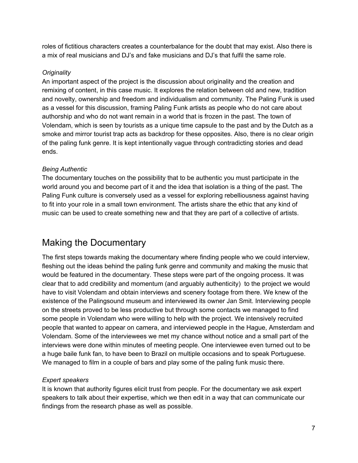roles of fictitious characters creates a counterbalance for the doubt that may exist. Also there is a mix of real musicians and DJ's and fake musicians and DJ's that fulfil the same role.

### *Originality*

An important aspect of the project is the discussion about originality and the creation and remixing of content, in this case music. It explores the relation between old and new, tradition and novelty, ownership and freedom and individualism and community. The Paling Funk is used as a vessel for this discussion, framing Paling Funk artists as people who do not care about authorship and who do not want remain in a world that is frozen in the past. The town of Volendam, which is seen by tourists as a unique time capsule to the past and by the Dutch as a smoke and mirror tourist trap acts as backdrop for these opposites. Also, there is no clear origin of the paling funk genre. It is kept intentionally vague through contradicting stories and dead ends.

# *Being Authentic*

The documentary touches on the possibility that to be authentic you must participate in the world around you and become part of it and the idea that isolation is a thing of the past. The Paling Funk culture is conversely used as a vessel for exploring rebelliousness against having to fit into your role in a small town environment. The artists share the ethic that any kind of music can be used to create something new and that they are part of a collective of artists.

# Making the Documentary

The first steps towards making the documentary where finding people who we could interview, fleshing out the ideas behind the paling funk genre and community and making the music that would be featured in the documentary. These steps were part of the ongoing process. It was clear that to add credibility and momentum (and arguably authenticity) to the project we would have to visit Volendam and obtain interviews and scenery footage from there. We knew of the existence of the Palingsound museum and interviewed its owner Jan Smit. Interviewing people on the streets proved to be less productive but through some contacts we managed to find some people in Volendam who were willing to help with the project. We intensively recruited people that wanted to appear on camera, and interviewed people in the Hague, Amsterdam and Volendam. Some of the interviewees we met my chance without notice and a small part of the interviews were done within minutes of meeting people. One interviewee even turned out to be a huge baile funk fan, to have been to Brazil on multiple occasions and to speak Portuguese. We managed to film in a couple of bars and play some of the paling funk music there.

# *Expert speakers*

It is known that authority figures elicit trust from people. For the documentary we ask expert speakers to talk about their expertise, which we then edit in a way that can communicate our findings from the research phase as well as possible.